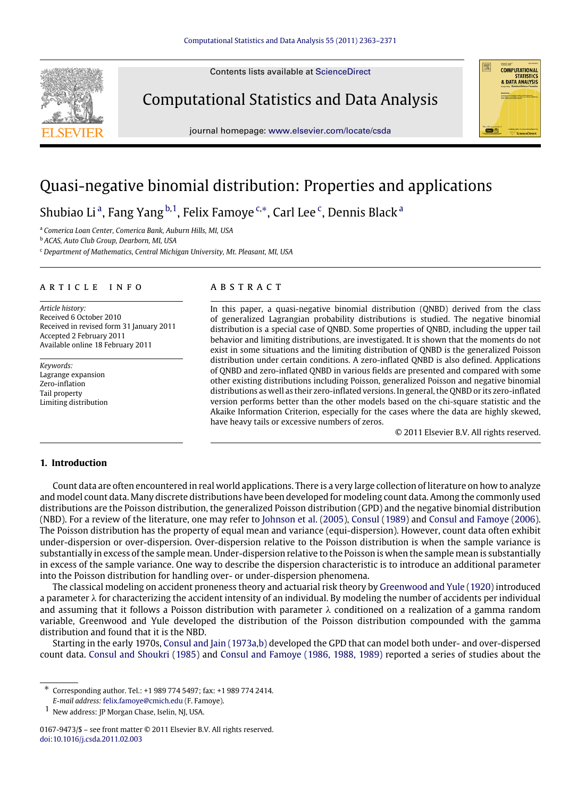Contents lists available at [ScienceDirect](http://www.elsevier.com/locate/csda)



journal homepage: [www.elsevier.com/locate/csda](http://www.elsevier.com/locate/csda)



# Quasi-negative binomial distribution: Properties and applications

Shubi[a](#page-0-0)o Li<sup>a</sup>, Fang Yang <sup>[b](#page-0-1)[,1](#page-0-2)</sup>, Felix Famoye <sup>[c,](#page-0-3)\*</sup>, Carl Lee <sup>[c](#page-0-3)</sup>, Dennis Black <sup>a</sup>

<span id="page-0-0"></span><sup>a</sup> *Comerica Loan Center, Comerica Bank, Auburn Hills, MI, USA*

<span id="page-0-1"></span><sup>b</sup> *ACAS, Auto Club Group, Dearborn, MI, USA*

<span id="page-0-3"></span><sup>c</sup> *Department of Mathematics, Central Michigan University, Mt. Pleasant, MI, USA*

### ARTICLE INFO

*Article history:* Received 6 October 2010 Received in revised form 31 January 2011 Accepted 2 February 2011 Available online 18 February 2011

*Keywords:* Lagrange expansion Zero-inflation Tail property Limiting distribution

# a b s t r a c t

In this paper, a quasi-negative binomial distribution (QNBD) derived from the class of generalized Lagrangian probability distributions is studied. The negative binomial distribution is a special case of QNBD. Some properties of QNBD, including the upper tail behavior and limiting distributions, are investigated. It is shown that the moments do not exist in some situations and the limiting distribution of QNBD is the generalized Poisson distribution under certain conditions. A zero-inflated QNBD is also defined. Applications of QNBD and zero-inflated QNBD in various fields are presented and compared with some other existing distributions including Poisson, generalized Poisson and negative binomial distributions as well as their zero-inflated versions. In general, the QNBD or its zero-inflated version performs better than the other models based on the chi-square statistic and the Akaike Information Criterion, especially for the cases where the data are highly skewed, have heavy tails or excessive numbers of zeros.

© 2011 Elsevier B.V. All rights reserved.

# **1. Introduction**

Count data are often encountered in real world applications. There is a very large collection of literature on how to analyze and model count data. Many discrete distributions have been developed for modeling count data. Among the commonly used distributions are the Poisson distribution, the generalized Poisson distribution (GPD) and the negative binomial distribution (NBD). For a review of the literature, one may refer to [Johnson](#page--1-0) [et al.](#page--1-0) [\(2005\)](#page--1-0), [Consul](#page--1-1) [\(1989\)](#page--1-1) and [Consul](#page--1-2) [and](#page--1-2) [Famoye](#page--1-2) [\(2006\)](#page--1-2). The Poisson distribution has the property of equal mean and variance (equi-dispersion). However, count data often exhibit under-dispersion or over-dispersion. Over-dispersion relative to the Poisson distribution is when the sample variance is substantially in excess of the sample mean. Under-dispersion relative to the Poisson is when the sample mean is substantially in excess of the sample variance. One way to describe the dispersion characteristic is to introduce an additional parameter into the Poisson distribution for handling over- or under-dispersion phenomena.

The classical modeling on accident proneness theory and actuarial risk theory by [Greenwood](#page--1-3) [and](#page--1-3) [Yule](#page--1-3) [\(1920\)](#page--1-3) introduced a parameter  $\lambda$  for characterizing the accident intensity of an individual. By modeling the number of accidents per individual and assuming that it follows a Poisson distribution with parameter  $\lambda$  conditioned on a realization of a gamma random variable, Greenwood and Yule developed the distribution of the Poisson distribution compounded with the gamma distribution and found that it is the NBD.

Starting in the early 1970s, [Consul](#page--1-4) [and](#page--1-4) [Jain](#page--1-4) [\(1973a,b\)](#page--1-4) developed the GPD that can model both under- and over-dispersed count data. [Consul](#page--1-5) [and](#page--1-5) [Shoukri](#page--1-5) [\(1985\)](#page--1-5) and [Consul](#page--1-6) [and](#page--1-6) [Famoye](#page--1-6) [\(1986,](#page--1-6) [1988,](#page--1-7) [1989\)](#page--1-8) reported a series of studies about the

<span id="page-0-4"></span>∗ Corresponding author. Tel.: +1 989 774 5497; fax: +1 989 774 2414. *E-mail address:* [felix.famoye@cmich.edu](mailto:felix.famoye@cmich.edu) (F. Famoye).

<span id="page-0-2"></span>1 New address: JP Morgan Chase, Iselin, NJ, USA.

<sup>0167-9473/\$ –</sup> see front matter © 2011 Elsevier B.V. All rights reserved. [doi:10.1016/j.csda.2011.02.003](http://dx.doi.org/10.1016/j.csda.2011.02.003)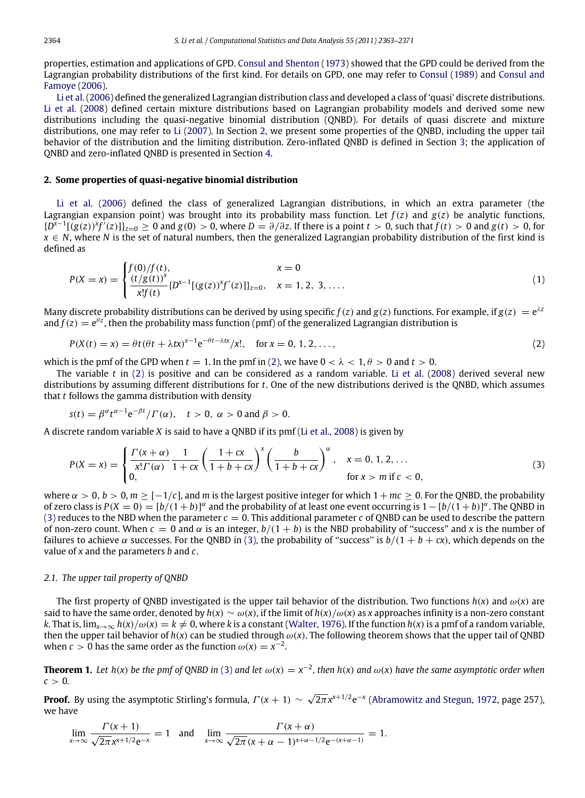properties, estimation and applications of GPD. [Consul](#page--1-9) [and](#page--1-9) [Shenton](#page--1-9) [\(1973\)](#page--1-9) showed that the GPD could be derived from the Lagrangian probability distributions of the first kind. For details on GPD, one may refer to [Consul](#page--1-1) [\(1989\)](#page--1-1) and [Consul](#page--1-2) [and](#page--1-2) [Famoye](#page--1-2) [\(2006\)](#page--1-2).

[Li](#page--1-10) [et al.](#page--1-10) [\(2006\)](#page--1-10) defined the generalized Lagrangian distribution class and developed a class of 'quasi' discrete distributions. [Li](#page--1-11) [et al.](#page--1-11) [\(2008\)](#page--1-11) defined certain mixture distributions based on Lagrangian probability models and derived some new distributions including the quasi-negative binomial distribution (QNBD). For details of quasi discrete and mixture distributions, one may refer to [Li](#page--1-12) [\(2007\)](#page--1-12). In Section [2,](#page-1-0) we present some properties of the QNBD, including the upper tail behavior of the distribution and the limiting distribution. Zero-inflated QNBD is defined in Section [3;](#page--1-13) the application of QNBD and zero-inflated QNBD is presented in Section [4.](#page--1-14)

#### <span id="page-1-0"></span>**2. Some properties of quasi-negative binomial distribution**

[Li](#page--1-10) [et al.](#page--1-10) [\(2006\)](#page--1-10) defined the class of generalized Lagrangian distributions, in which an extra parameter (the Lagrangian expansion point) was brought into its probability mass function. Let  $f(z)$  and  $g(z)$  be analytic functions,  $\{D^{\bar{x}-1}[(g(z))^x f'(z)]\}_{z=0}\geq 0$  and  $g(0)>0$ , where  $D=\partial/\partial z$ . If there is a point  $t>0$ , such that  $f(t)>0$  and  $g(t)>0$ , for *x* ∈ *N*, where *N* is the set of natural numbers, then the generalized Lagrangian probability distribution of the first kind is defined as

$$
P(X = x) = \begin{cases} f(0)/f(t), & x = 0\\ \frac{(t/g(t))^x}{x!f(t)} \{D^{x-1}[(g(z))^x f'(z)]\}_{z=0}, & x = 1, 2, 3, .... \end{cases}
$$
(1)

Many discrete probability distributions can be derived by using specific  $f(z)$  and  $g(z)$  functions. For example, if  $g(z) = e^{\lambda z}$ and  $f(z) = e^{\theta z}$ , then the probability mass function (pmf) of the generalized Lagrangian distribution is

<span id="page-1-1"></span>
$$
P(X(t) = x) = \theta t (\theta t + \lambda tx)^{x-1} e^{-\theta t - \lambda tx} / x!, \quad \text{for } x = 0, 1, 2, \dots,
$$
 (2)

which is the pmf of the GPD when  $t = 1$ . In the pmf in [\(2\),](#page-1-1) we have  $0 < \lambda < 1$ ,  $\theta > 0$  and  $t > 0$ .

The variable *t* in [\(2\)](#page-1-1) is positive and can be considered as a random variable. [Li](#page--1-11) [et al.](#page--1-11) [\(2008\)](#page--1-11) derived several new distributions by assuming different distributions for *t*. One of the new distributions derived is the QNBD, which assumes that *t* follows the gamma distribution with density

$$
s(t) = \beta^{\alpha} t^{\alpha - 1} e^{-\beta t} / \Gamma(\alpha), \quad t > 0, \ \alpha > 0 \text{ and } \beta > 0.
$$

A discrete random variable *X* is said to have a QNBD if its pmf [\(Li](#page--1-11) [et al.,](#page--1-11) [2008\)](#page--1-11) is given by

<span id="page-1-2"></span>
$$
P(X = x) = \begin{cases} \frac{\Gamma(x + \alpha)}{x! \Gamma(\alpha)} \frac{1}{1 + cx} \left( \frac{1 + cx}{1 + b + cx} \right)^x \left( \frac{b}{1 + b + cx} \right)^{\alpha}, & x = 0, 1, 2, ... \\ 0, & \text{for } x > m \text{ if } c < 0, \end{cases}
$$
(3)

where  $\alpha > 0$ ,  $b > 0$ ,  $m \ge [-1/c]$ , and *m* is the largest positive integer for which  $1 + mc > 0$ . For the ONBD, the probability of zero class is  $P(X = 0) = [b/(1 + b)]^{\alpha}$  and the probability of at least one event occurring is  $1 - [b/(1 + b)]^{\alpha}$ . The QNBD in [\(3\)](#page-1-2) reduces to the NBD when the parameter  $c = 0$ . This additional parameter *c* of QNBD can be used to describe the pattern of non-zero count. When  $c = 0$  and  $\alpha$  is an integer,  $b/(1 + b)$  is the NBD probability of "success" and x is the number of failures to achieve  $\alpha$  successes. For the QNBD in [\(3\),](#page-1-2) the probability of "success" is  $b/(1 + b + cx)$ , which depends on the value of *x* and the parameters *b* and *c*.

### *2.1. The upper tail property of QNBD*

The first property of ONBD investigated is the upper tail behavior of the distribution. Two functions  $h(x)$  and  $\omega(x)$  are said to have the same order, denoted by  $h(x) \sim \omega(x)$ , if the limit of  $h(x)/\omega(x)$  as *x* approaches infinity is a non-zero constant *k*. That is,  $\lim_{x\to\infty} h(x)/\omega(x) = k \neq 0$ , where *k* is a constant [\(Walter,](#page--1-15) [1976\)](#page--1-15). If the function  $h(x)$  is a pmf of a random variable, then the upper tail behavior of  $h(x)$  can be studied through  $\omega(x)$ . The following theorem shows that the upper tail of QNBD when *c* > 0 has the same order as the function  $\omega(x) = x^{-2}$ .

**Theorem 1.** Let  $h(x)$  be the pmf of QNBD in [\(3\)](#page-1-2) and let  $\omega(x) = x^{-2}$ , then  $h(x)$  and  $\omega(x)$  have the same asymptotic order when  $c > 0$ .

**Proof.** By using the asymptotic Stirling's formula,  $\Gamma(x+1) \sim \sqrt{2\pi}$  $\sqrt{2\pi}x^{x+1/2}e^{-x}$  [\(Abramowitz](#page--1-16) [and](#page--1-16) [Stegun,](#page--1-16) [1972,](#page--1-16) page 257), we have

$$
\lim_{x\to\infty}\frac{\Gamma(x+1)}{\sqrt{2\pi}x^{x+1/2}e^{-x}}=1\quad\text{and}\quad\lim_{x\to\infty}\frac{\Gamma(x+\alpha)}{\sqrt{2\pi}(x+\alpha-1)^{x+\alpha-1/2}e^{-(x+\alpha-1)}}=1.
$$